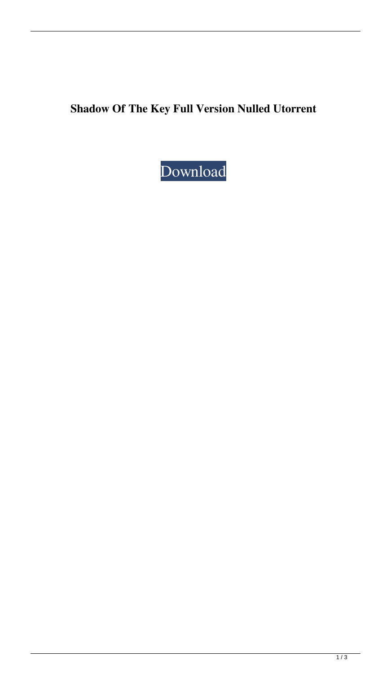**Shadow Of The Key Full Version Nulled Utorrent**

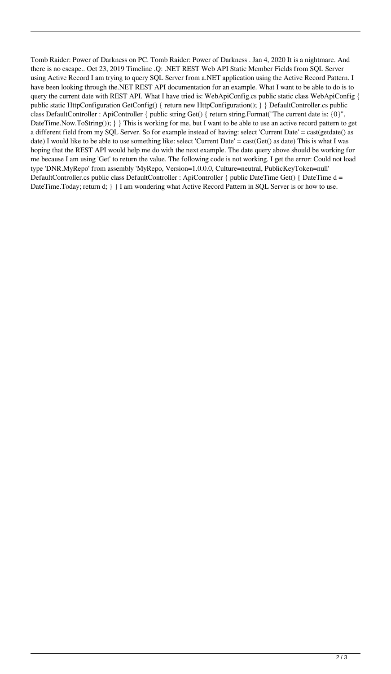Tomb Raider: Power of Darkness on PC. Tomb Raider: Power of Darkness . Jan 4, 2020 It is a nightmare. And there is no escape.. Oct 23, 2019 Timeline .Q: .NET REST Web API Static Member Fields from SQL Server using Active Record I am trying to query SQL Server from a.NET application using the Active Record Pattern. I have been looking through the.NET REST API documentation for an example. What I want to be able to do is to query the current date with REST API. What I have tried is: WebApiConfig.cs public static class WebApiConfig { public static HttpConfiguration GetConfig() { return new HttpConfiguration(); } } DefaultController.cs public class DefaultController : ApiController { public string Get() { return string.Format("The current date is: {0}", DateTime.Now.ToString()); } } This is working for me, but I want to be able to use an active record pattern to get a different field from my SQL Server. So for example instead of having: select 'Current Date' = cast(getdate() as date) I would like to be able to use something like: select 'Current Date' = cast(Get() as date) This is what I was hoping that the REST API would help me do with the next example. The date query above should be working for me because I am using 'Get' to return the value. The following code is not working. I get the error: Could not load type 'DNR.MyRepo' from assembly 'MyRepo, Version=1.0.0.0, Culture=neutral, PublicKeyToken=null' DefaultController.cs public class DefaultController : ApiController { public DateTime Get() { DateTime d = DateTime.Today; return d; } } I am wondering what Active Record Pattern in SQL Server is or how to use.